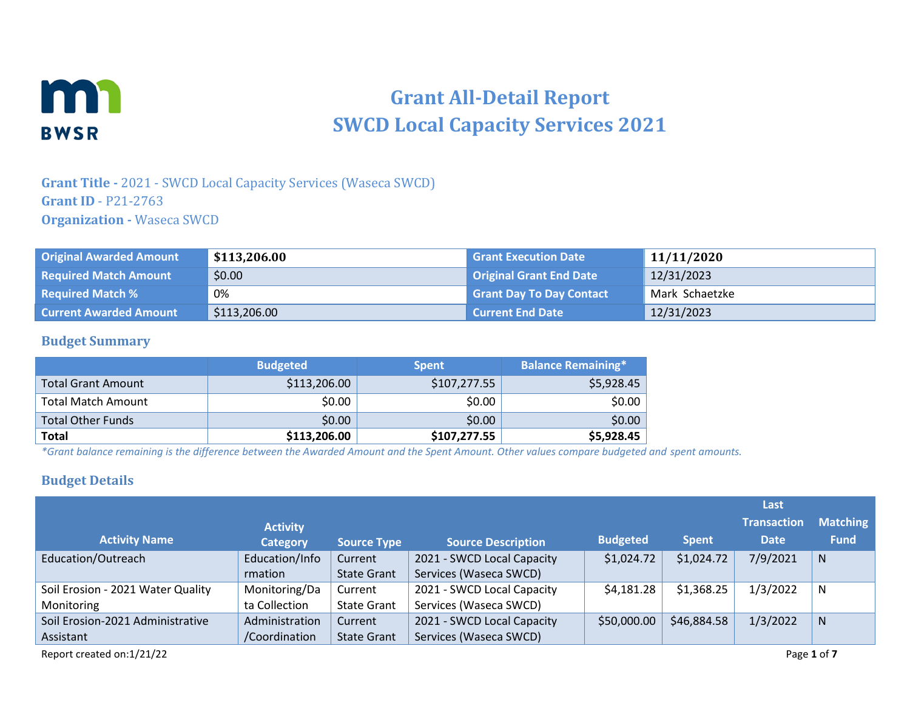

# **Grant All-Detail Report SWCD Local Capacity Services 2021**

## **Grant Title -** 2021 - SWCD Local Capacity Services (Waseca SWCD) **Grant ID** - P21-2763 **Organization -** Waseca SWCD

| <b>Original Awarded Amount</b> | \$113,206.00 | <b>Grant Execution Date</b>     | 11/11/2020     |
|--------------------------------|--------------|---------------------------------|----------------|
| <b>Required Match Amount</b>   | \$0.00       | <b>Original Grant End Date</b>  | 12/31/2023     |
| <b>Required Match %</b>        | 0%           | <b>Grant Day To Day Contact</b> | Mark Schaetzke |
| <b>Current Awarded Amount</b>  | \$113,206.00 | Current End Date                | 12/31/2023     |

#### **Budget Summary**

|                           | <b>Budgeted</b> | <b>Spent</b> | <b>Balance Remaining*</b> |
|---------------------------|-----------------|--------------|---------------------------|
| <b>Total Grant Amount</b> | \$113,206.00    | \$107,277.55 | \$5,928.45                |
| <b>Total Match Amount</b> | \$0.00          | \$0.00       | \$0.00                    |
| <b>Total Other Funds</b>  | \$0.00          | \$0.00       | \$0.00                    |
| <b>Total</b>              | \$113,206.00    | \$107,277.55 | \$5,928.45                |

*\*Grant balance remaining is the difference between the Awarded Amount and the Spent Amount. Other values compare budgeted and spent amounts.*

#### **Budget Details**

|                                   |                 |                    |                            |                 |              | Last               |                 |
|-----------------------------------|-----------------|--------------------|----------------------------|-----------------|--------------|--------------------|-----------------|
|                                   | <b>Activity</b> |                    |                            |                 |              | <b>Transaction</b> | <b>Matching</b> |
| <b>Activity Name</b>              | <b>Category</b> | <b>Source Type</b> | <b>Source Description</b>  | <b>Budgeted</b> | <b>Spent</b> | <b>Date</b>        | <b>Fund</b>     |
| Education/Outreach                | Education/Info  | Current            | 2021 - SWCD Local Capacity | \$1,024.72      | \$1,024.72   | 7/9/2021           | N               |
|                                   | rmation         | <b>State Grant</b> | Services (Waseca SWCD)     |                 |              |                    |                 |
| Soil Erosion - 2021 Water Quality | Monitoring/Da   | Current            | 2021 - SWCD Local Capacity | \$4,181.28      | \$1,368.25   | 1/3/2022           | N               |
| Monitoring                        | ta Collection   | <b>State Grant</b> | Services (Waseca SWCD)     |                 |              |                    |                 |
| Soil Erosion-2021 Administrative  | Administration  | Current            | 2021 - SWCD Local Capacity | \$50,000.00     | \$46,884.58  | 1/3/2022           | N               |
| Assistant                         | /Coordination   | <b>State Grant</b> | Services (Waseca SWCD)     |                 |              |                    |                 |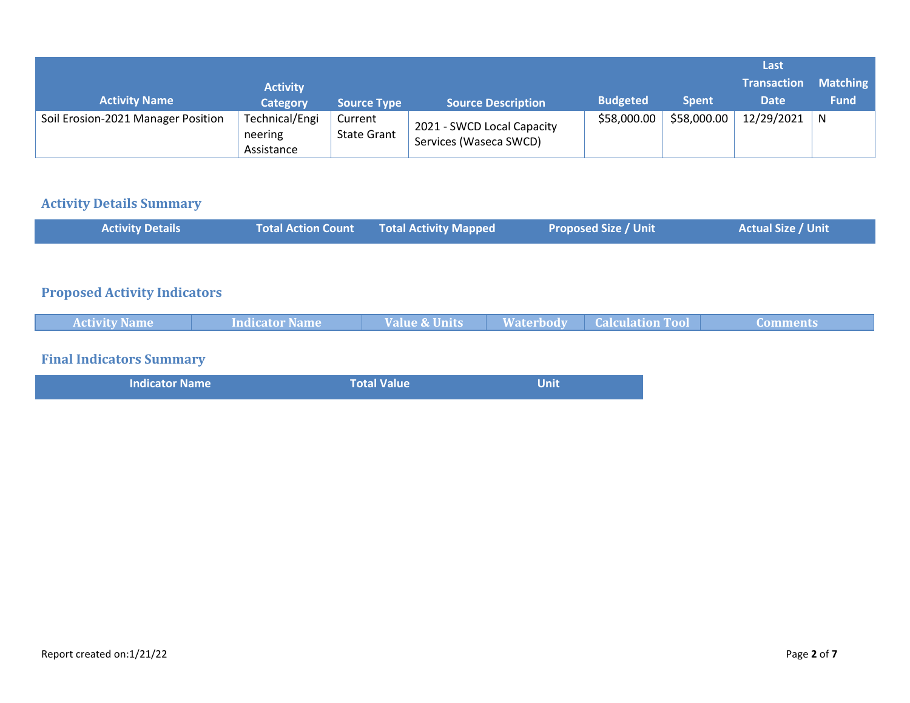|                                    |                                         |                               |                                                      |                 |              | Last               |                 |
|------------------------------------|-----------------------------------------|-------------------------------|------------------------------------------------------|-----------------|--------------|--------------------|-----------------|
|                                    | <b>Activity</b>                         |                               |                                                      |                 |              | <b>Transaction</b> | <b>Matching</b> |
| <b>Activity Name</b>               | <b>Category</b>                         | <b>Source Type</b>            | <b>Source Description</b>                            | <b>Budgeted</b> | <b>Spent</b> | <b>Date</b>        | <b>Fund</b>     |
| Soil Erosion-2021 Manager Position | Technical/Engi<br>neering<br>Assistance | Current<br><b>State Grant</b> | 2021 - SWCD Local Capacity<br>Services (Waseca SWCD) | \$58,000.00     | \$58,000.00  | 12/29/2021         | N               |

# **Activity Details Summary**

| <b>Activity Details</b>             | <b>Total Action Count</b> | <b>Total Activity Mapped</b> | <b>Proposed Size / Unit</b>                 | <b>Actual Size / Unit</b> |
|-------------------------------------|---------------------------|------------------------------|---------------------------------------------|---------------------------|
|                                     |                           |                              |                                             |                           |
| <b>Proposed Activity Indicators</b> |                           |                              |                                             |                           |
| <b>Activity Name</b>                | <b>Indicator Name</b>     | <b>Value &amp; Units</b>     | <b>Calculation Tool</b><br><b>Waterbody</b> | <b>Comments</b>           |
| <b>Final Indicators Summary</b>     |                           |                              |                                             |                           |
| <b>Indicator Name</b>               |                           | <b>Total Value</b>           | <b>Unit</b>                                 |                           |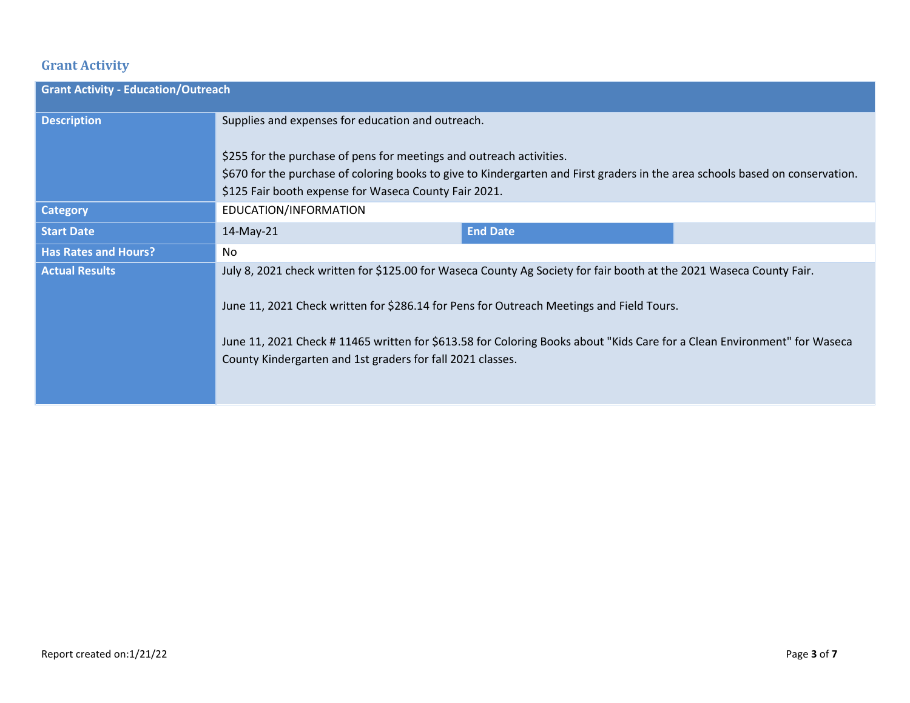# **Grant Activity**

| <b>Grant Activity - Education/Outreach</b> |                                                                                                                                                                                                                                                                                                                                                                                                          |                 |  |  |
|--------------------------------------------|----------------------------------------------------------------------------------------------------------------------------------------------------------------------------------------------------------------------------------------------------------------------------------------------------------------------------------------------------------------------------------------------------------|-----------------|--|--|
| <b>Description</b>                         | Supplies and expenses for education and outreach.                                                                                                                                                                                                                                                                                                                                                        |                 |  |  |
|                                            | \$255 for the purchase of pens for meetings and outreach activities.<br>\$670 for the purchase of coloring books to give to Kindergarten and First graders in the area schools based on conservation.<br>\$125 Fair booth expense for Waseca County Fair 2021.                                                                                                                                           |                 |  |  |
| <b>Category</b>                            | EDUCATION/INFORMATION                                                                                                                                                                                                                                                                                                                                                                                    |                 |  |  |
| <b>Start Date</b>                          | 14-May-21                                                                                                                                                                                                                                                                                                                                                                                                | <b>End Date</b> |  |  |
| <b>Has Rates and Hours?</b>                | No                                                                                                                                                                                                                                                                                                                                                                                                       |                 |  |  |
| <b>Actual Results</b>                      | July 8, 2021 check written for \$125.00 for Waseca County Ag Society for fair booth at the 2021 Waseca County Fair.<br>June 11, 2021 Check written for \$286.14 for Pens for Outreach Meetings and Field Tours.<br>June 11, 2021 Check #11465 written for \$613.58 for Coloring Books about "Kids Care for a Clean Environment" for Waseca<br>County Kindergarten and 1st graders for fall 2021 classes. |                 |  |  |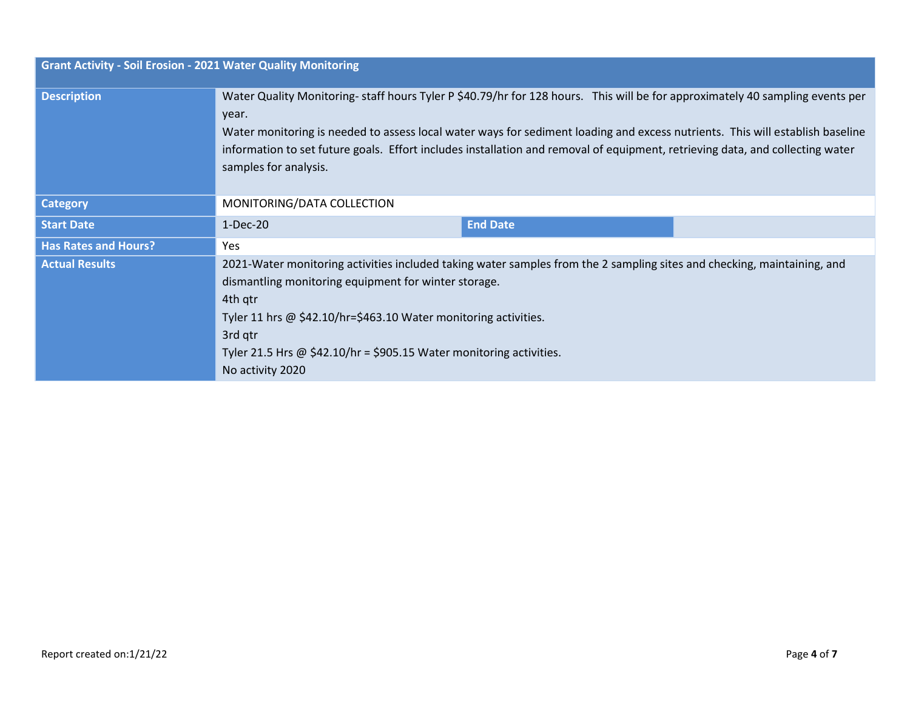| <b>Grant Activity - Soil Erosion - 2021 Water Quality Monitoring</b> |                                                                                                                                                                                                                                                        |                                                                                                                                                                                                                                                                                                                                                                                                |
|----------------------------------------------------------------------|--------------------------------------------------------------------------------------------------------------------------------------------------------------------------------------------------------------------------------------------------------|------------------------------------------------------------------------------------------------------------------------------------------------------------------------------------------------------------------------------------------------------------------------------------------------------------------------------------------------------------------------------------------------|
| <b>Description</b>                                                   | year.<br>samples for analysis.                                                                                                                                                                                                                         | Water Quality Monitoring-staff hours Tyler P \$40.79/hr for 128 hours. This will be for approximately 40 sampling events per<br>Water monitoring is needed to assess local water ways for sediment loading and excess nutrients. This will establish baseline<br>information to set future goals. Effort includes installation and removal of equipment, retrieving data, and collecting water |
| <b>Category</b>                                                      | MONITORING/DATA COLLECTION                                                                                                                                                                                                                             |                                                                                                                                                                                                                                                                                                                                                                                                |
| <b>Start Date</b>                                                    | $1-Dec-20$                                                                                                                                                                                                                                             | <b>End Date</b>                                                                                                                                                                                                                                                                                                                                                                                |
| <b>Has Rates and Hours?</b>                                          | Yes                                                                                                                                                                                                                                                    |                                                                                                                                                                                                                                                                                                                                                                                                |
| <b>Actual Results</b>                                                | dismantling monitoring equipment for winter storage.<br>4th qtr<br>Tyler 11 hrs $\omega$ \$42.10/hr=\$463.10 Water monitoring activities.<br>3rd qtr<br>Tyler 21.5 Hrs $\omega$ \$42.10/hr = \$905.15 Water monitoring activities.<br>No activity 2020 | 2021-Water monitoring activities included taking water samples from the 2 sampling sites and checking, maintaining, and                                                                                                                                                                                                                                                                        |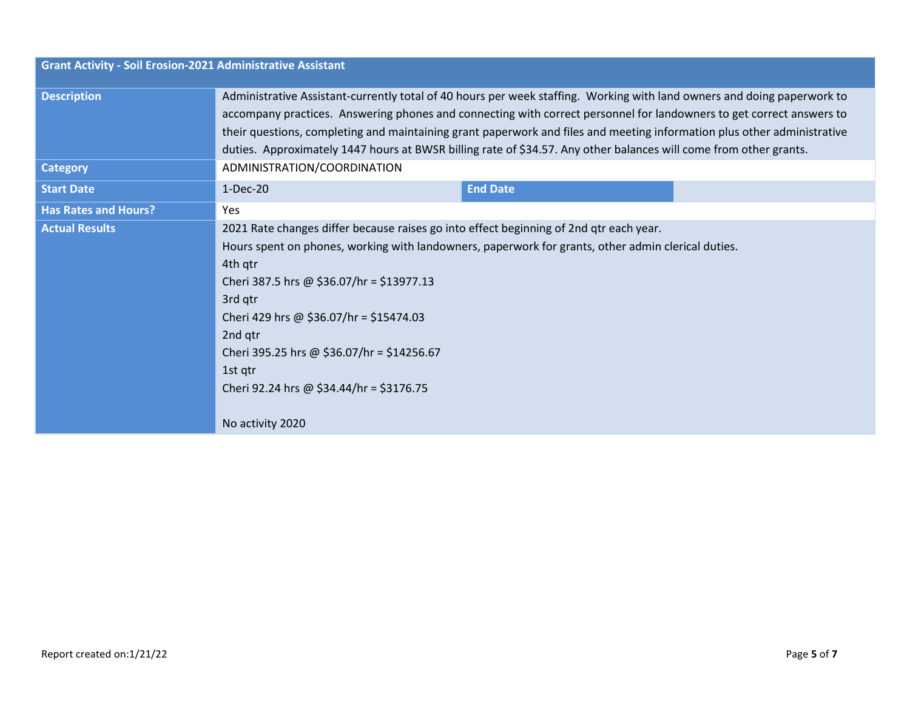| <b>Grant Activity - Soil Erosion-2021 Administrative Assistant</b> |                                                                                                                                                                                                                                                                                                                                                                                                                                                                                                 |                 |  |
|--------------------------------------------------------------------|-------------------------------------------------------------------------------------------------------------------------------------------------------------------------------------------------------------------------------------------------------------------------------------------------------------------------------------------------------------------------------------------------------------------------------------------------------------------------------------------------|-----------------|--|
| <b>Description</b>                                                 | Administrative Assistant-currently total of 40 hours per week staffing. Working with land owners and doing paperwork to<br>accompany practices. Answering phones and connecting with correct personnel for landowners to get correct answers to<br>their questions, completing and maintaining grant paperwork and files and meeting information plus other administrative<br>duties. Approximately 1447 hours at BWSR billing rate of \$34.57. Any other balances will come from other grants. |                 |  |
| <b>Category</b>                                                    | ADMINISTRATION/COORDINATION                                                                                                                                                                                                                                                                                                                                                                                                                                                                     |                 |  |
| <b>Start Date</b>                                                  | $1-Dec-20$                                                                                                                                                                                                                                                                                                                                                                                                                                                                                      | <b>End Date</b> |  |
| <b>Has Rates and Hours?</b>                                        | Yes                                                                                                                                                                                                                                                                                                                                                                                                                                                                                             |                 |  |
| <b>Actual Results</b>                                              | 2021 Rate changes differ because raises go into effect beginning of 2nd qtr each year.<br>Hours spent on phones, working with landowners, paperwork for grants, other admin clerical duties.<br>4th qtr<br>Cheri 387.5 hrs @ \$36.07/hr = \$13977.13<br>3rd qtr<br>Cheri 429 hrs @ \$36.07/hr = \$15474.03<br>2nd qtr<br>Cheri 395.25 hrs @ \$36.07/hr = \$14256.67<br>1st qtr<br>Cheri 92.24 hrs @ \$34.44/hr = \$3176.75<br>No activity 2020                                                  |                 |  |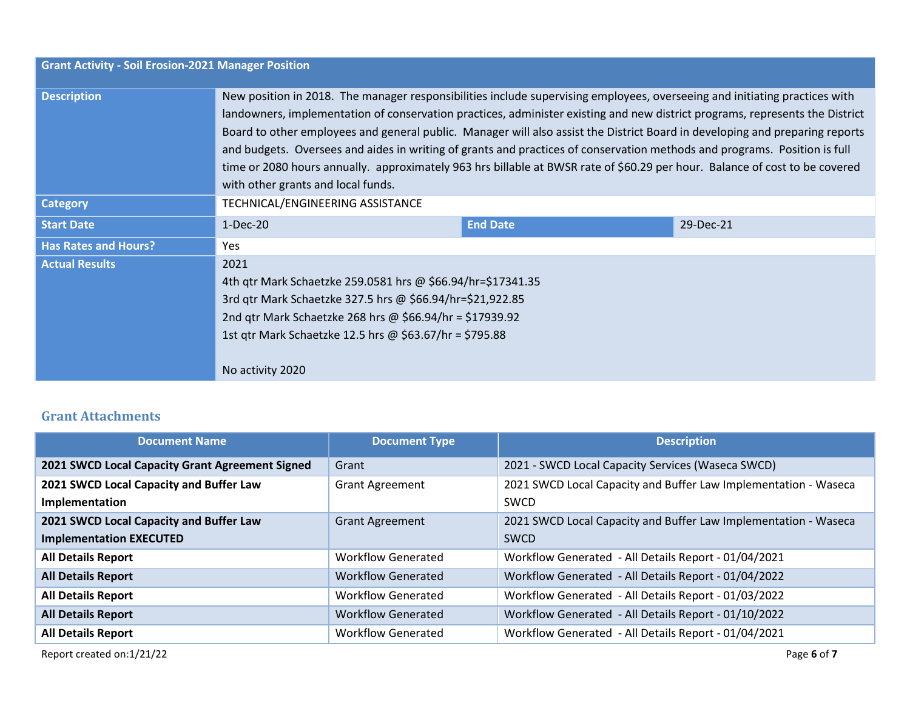| <b>Grant Activity - Soil Erosion-2021 Manager Position</b> |                                                                                                                                                                                                                                                                                                                                                                                                                                                                                                                                                                                                                                                                                              |                 |           |  |
|------------------------------------------------------------|----------------------------------------------------------------------------------------------------------------------------------------------------------------------------------------------------------------------------------------------------------------------------------------------------------------------------------------------------------------------------------------------------------------------------------------------------------------------------------------------------------------------------------------------------------------------------------------------------------------------------------------------------------------------------------------------|-----------------|-----------|--|
| <b>Description</b>                                         | New position in 2018. The manager responsibilities include supervising employees, overseeing and initiating practices with<br>landowners, implementation of conservation practices, administer existing and new district programs, represents the District<br>Board to other employees and general public. Manager will also assist the District Board in developing and preparing reports<br>and budgets. Oversees and aides in writing of grants and practices of conservation methods and programs. Position is full<br>time or 2080 hours annually. approximately 963 hrs billable at BWSR rate of \$60.29 per hour. Balance of cost to be covered<br>with other grants and local funds. |                 |           |  |
| <b>Category</b>                                            | TECHNICAL/ENGINEERING ASSISTANCE                                                                                                                                                                                                                                                                                                                                                                                                                                                                                                                                                                                                                                                             |                 |           |  |
| <b>Start Date</b>                                          | $1-Dec-20$                                                                                                                                                                                                                                                                                                                                                                                                                                                                                                                                                                                                                                                                                   | <b>End Date</b> | 29-Dec-21 |  |
| <b>Has Rates and Hours?</b>                                | Yes                                                                                                                                                                                                                                                                                                                                                                                                                                                                                                                                                                                                                                                                                          |                 |           |  |
| <b>Actual Results</b>                                      | 2021<br>4th gtr Mark Schaetzke 259.0581 hrs @ \$66.94/hr=\$17341.35<br>3rd qtr Mark Schaetzke 327.5 hrs @ \$66.94/hr=\$21,922.85<br>2nd gtr Mark Schaetzke 268 hrs @ \$66.94/hr = \$17939.92<br>1st gtr Mark Schaetzke 12.5 hrs @ \$63.67/hr = \$795.88<br>No activity 2020                                                                                                                                                                                                                                                                                                                                                                                                                  |                 |           |  |

## **Grant Attachments**

| <b>Document Name</b>                            | <b>Document Type</b>      | <b>Description</b>                                              |
|-------------------------------------------------|---------------------------|-----------------------------------------------------------------|
| 2021 SWCD Local Capacity Grant Agreement Signed | Grant                     | 2021 - SWCD Local Capacity Services (Waseca SWCD)               |
| 2021 SWCD Local Capacity and Buffer Law         | <b>Grant Agreement</b>    | 2021 SWCD Local Capacity and Buffer Law Implementation - Waseca |
| <b>Implementation</b>                           |                           | SWCD                                                            |
| 2021 SWCD Local Capacity and Buffer Law         | <b>Grant Agreement</b>    | 2021 SWCD Local Capacity and Buffer Law Implementation - Waseca |
| <b>Implementation EXECUTED</b>                  |                           | <b>SWCD</b>                                                     |
| <b>All Details Report</b>                       | <b>Workflow Generated</b> | Workflow Generated - All Details Report - 01/04/2021            |
| <b>All Details Report</b>                       | <b>Workflow Generated</b> | Workflow Generated - All Details Report - 01/04/2022            |
| <b>All Details Report</b>                       | <b>Workflow Generated</b> | Workflow Generated - All Details Report - 01/03/2022            |
| <b>All Details Report</b>                       | <b>Workflow Generated</b> | Workflow Generated - All Details Report - 01/10/2022            |
| <b>All Details Report</b>                       | <b>Workflow Generated</b> | Workflow Generated - All Details Report - 01/04/2021            |

Report created on:1/21/22 Page **6** of **7**